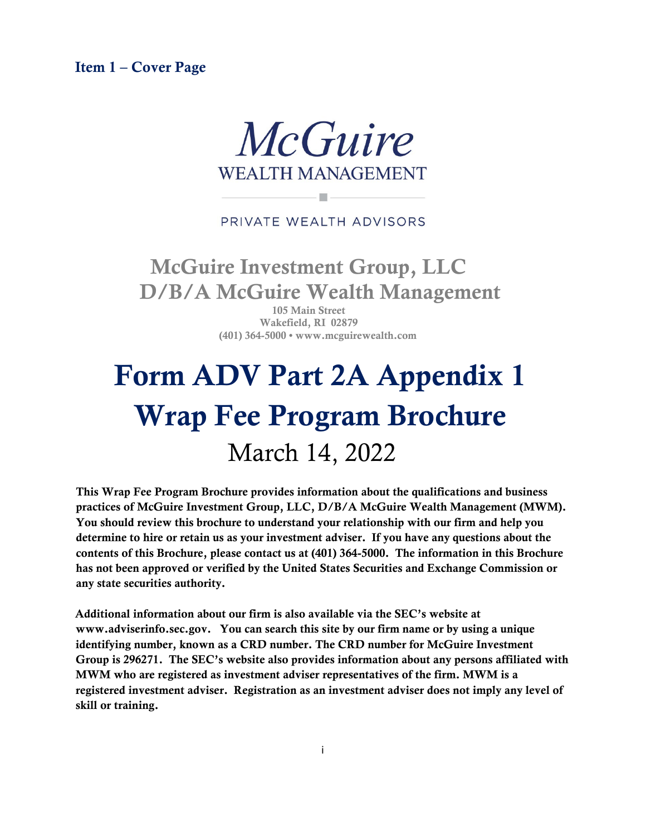<span id="page-0-0"></span>Item 1 – Cover Page



### PRIVATE WEALTH ADVISORS

# McGuire Investment Group, LLC D/B/A McGuire Wealth Management

105 Main Street Wakefield, RI 02879 (401) 364-5000 • www.mcguirewealth.com

# Form ADV Part 2A Appendix 1 Wrap Fee Program Brochure March 14, 2022

This Wrap Fee Program Brochure provides information about the qualifications and business practices of McGuire Investment Group, LLC, D/B/A McGuire Wealth Management (MWM). You should review this brochure to understand your relationship with our firm and help you determine to hire or retain us as your investment adviser. If you have any questions about the contents of this Brochure, please contact us at (401) 364-5000. The information in this Brochure has not been approved or verified by the United States Securities and Exchange Commission or any state securities authority.

Additional information about our firm is also available via the SEC's website at www.adviserinfo.sec.gov. You can search this site by our firm name or by using a unique identifying number, known as a CRD number. The CRD number for McGuire Investment Group is 296271. The SEC's website also provides information about any persons affiliated with MWM who are registered as investment adviser representatives of the firm. MWM is a registered investment adviser. Registration as an investment adviser does not imply any level of skill or training.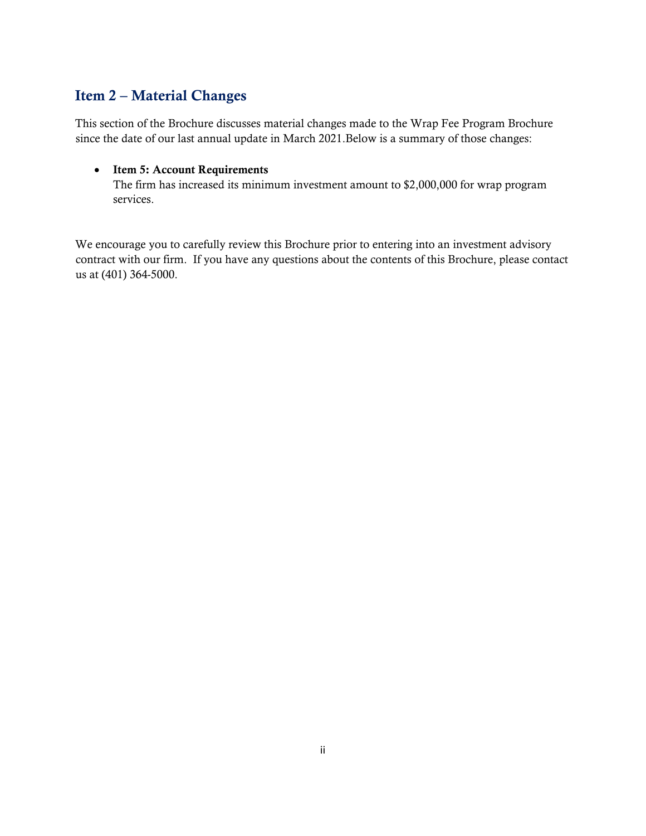# <span id="page-1-0"></span>Item 2 – Material Changes

This section of the Brochure discusses material changes made to the Wrap Fee Program Brochure since the date of our last annual update in March 2021.Below is a summary of those changes:

#### • Item 5: Account Requirements

The firm has increased its minimum investment amount to \$2,000,000 for wrap program services.

We encourage you to carefully review this Brochure prior to entering into an investment advisory contract with our firm. If you have any questions about the contents of this Brochure, please contact us at (401) 364-5000.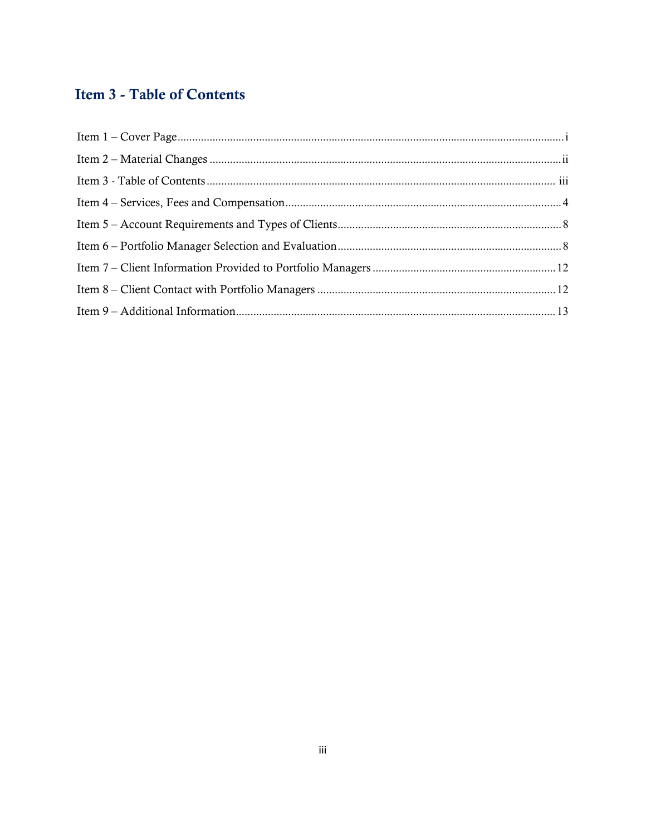# <span id="page-2-0"></span>**Item 3 - Table of Contents**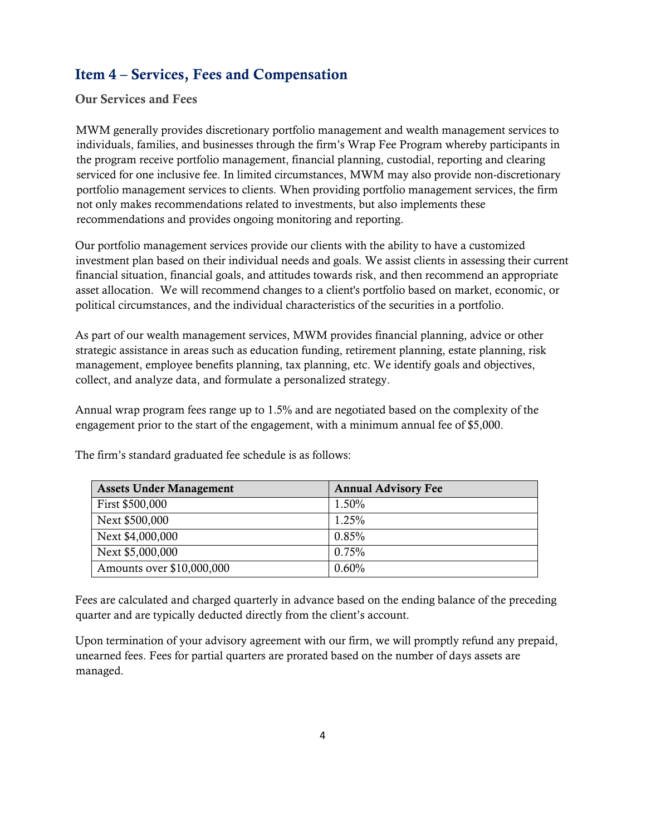# <span id="page-3-0"></span>Item 4 – Services, Fees and Compensation

Our Services and Fees

MWM generally provides discretionary portfolio management and wealth management services to individuals, families, and businesses through the firm's Wrap Fee Program whereby participants in the program receive portfolio management, financial planning, custodial, reporting and clearing serviced for one inclusive fee. In limited circumstances, MWM may also provide non-discretionary portfolio management services to clients. When providing portfolio management services, the firm not only makes recommendations related to investments, but also implements these recommendations and provides ongoing monitoring and reporting.

Our portfolio management services provide our clients with the ability to have a customized investment plan based on their individual needs and goals. We assist clients in assessing their current financial situation, financial goals, and attitudes towards risk, and then recommend an appropriate asset allocation. We will recommend changes to a client's portfolio based on market, economic, or political circumstances, and the individual characteristics of the securities in a portfolio.

As part of our wealth management services, MWM provides financial planning, advice or other strategic assistance in areas such as education funding, retirement planning, estate planning, risk management, employee benefits planning, tax planning, etc. We identify goals and objectives, collect, and analyze data, and formulate a personalized strategy.

Annual wrap program fees range up to 1.5% and are negotiated based on the complexity of the engagement prior to the start of the engagement, with a minimum annual fee of \$5,000.

| <b>Assets Under Management</b> | <b>Annual Advisory Fee</b> |
|--------------------------------|----------------------------|
| First \$500,000                | 1.50%                      |
| Next \$500,000                 | 1.25%                      |
| Next \$4,000,000               | 0.85%                      |
| Next \$5,000,000               | 0.75%                      |
| Amounts over \$10,000,000      | 0.60%                      |

The firm's standard graduated fee schedule is as follows:

Fees are calculated and charged quarterly in advance based on the ending balance of the preceding quarter and are typically deducted directly from the client's account.

Upon termination of your advisory agreement with our firm, we will promptly refund any prepaid, unearned fees. Fees for partial quarters are prorated based on the number of days assets are managed.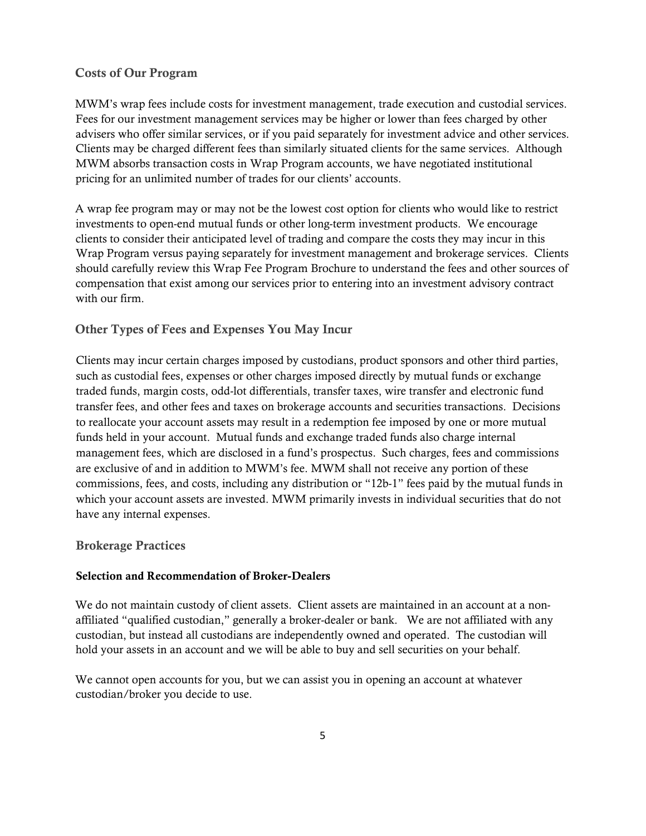#### Costs of Our Program

MWM's wrap fees include costs for investment management, trade execution and custodial services. Fees for our investment management services may be higher or lower than fees charged by other advisers who offer similar services, or if you paid separately for investment advice and other services. Clients may be charged different fees than similarly situated clients for the same services. Although MWM absorbs transaction costs in Wrap Program accounts, we have negotiated institutional pricing for an unlimited number of trades for our clients' accounts.

A wrap fee program may or may not be the lowest cost option for clients who would like to restrict investments to open-end mutual funds or other long-term investment products. We encourage clients to consider their anticipated level of trading and compare the costs they may incur in this Wrap Program versus paying separately for investment management and brokerage services. Clients should carefully review this Wrap Fee Program Brochure to understand the fees and other sources of compensation that exist among our services prior to entering into an investment advisory contract with our firm.

#### Other Types of Fees and Expenses You May Incur

Clients may incur certain charges imposed by custodians, product sponsors and other third parties, such as custodial fees, expenses or other charges imposed directly by mutual funds or exchange traded funds, margin costs, odd-lot differentials, transfer taxes, wire transfer and electronic fund transfer fees, and other fees and taxes on brokerage accounts and securities transactions. Decisions to reallocate your account assets may result in a redemption fee imposed by one or more mutual funds held in your account. Mutual funds and exchange traded funds also charge internal management fees, which are disclosed in a fund's prospectus. Such charges, fees and commissions are exclusive of and in addition to MWM's fee. MWM shall not receive any portion of these commissions, fees, and costs, including any distribution or "12b-1" fees paid by the mutual funds in which your account assets are invested. MWM primarily invests in individual securities that do not have any internal expenses.

#### Brokerage Practices

#### Selection and Recommendation of Broker-Dealers

We do not maintain custody of client assets. Client assets are maintained in an account at a nonaffiliated "qualified custodian," generally a broker-dealer or bank. We are not affiliated with any custodian, but instead all custodians are independently owned and operated. The custodian will hold your assets in an account and we will be able to buy and sell securities on your behalf.

We cannot open accounts for you, but we can assist you in opening an account at whatever custodian/broker you decide to use.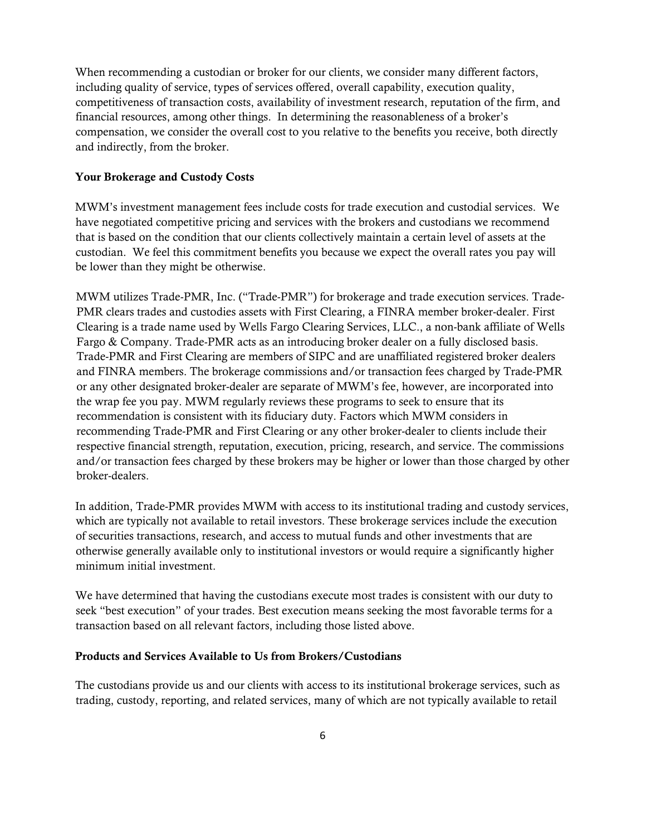When recommending a custodian or broker for our clients, we consider many different factors, including quality of service, types of services offered, overall capability, execution quality, competitiveness of transaction costs, availability of investment research, reputation of the firm, and financial resources, among other things. In determining the reasonableness of a broker's compensation, we consider the overall cost to you relative to the benefits you receive, both directly and indirectly, from the broker.

#### Your Brokerage and Custody Costs

MWM's investment management fees include costs for trade execution and custodial services. We have negotiated competitive pricing and services with the brokers and custodians we recommend that is based on the condition that our clients collectively maintain a certain level of assets at the custodian. We feel this commitment benefits you because we expect the overall rates you pay will be lower than they might be otherwise.

MWM utilizes Trade-PMR, Inc. ("Trade-PMR") for brokerage and trade execution services. Trade-PMR clears trades and custodies assets with First Clearing, a FINRA member broker-dealer. First Clearing is a trade name used by Wells Fargo Clearing Services, LLC., a non-bank affiliate of Wells Fargo & Company. Trade-PMR acts as an introducing broker dealer on a fully disclosed basis. Trade-PMR and First Clearing are members of SIPC and are unaffiliated registered broker dealers and FINRA members. The brokerage commissions and/or transaction fees charged by Trade-PMR or any other designated broker-dealer are separate of MWM's fee, however, are incorporated into the wrap fee you pay. MWM regularly reviews these programs to seek to ensure that its recommendation is consistent with its fiduciary duty. Factors which MWM considers in recommending Trade-PMR and First Clearing or any other broker-dealer to clients include their respective financial strength, reputation, execution, pricing, research, and service. The commissions and/or transaction fees charged by these brokers may be higher or lower than those charged by other broker-dealers.

In addition, Trade-PMR provides MWM with access to its institutional trading and custody services, which are typically not available to retail investors. These brokerage services include the execution of securities transactions, research, and access to mutual funds and other investments that are otherwise generally available only to institutional investors or would require a significantly higher minimum initial investment.

We have determined that having the custodians execute most trades is consistent with our duty to seek "best execution" of your trades. Best execution means seeking the most favorable terms for a transaction based on all relevant factors, including those listed above.

#### Products and Services Available to Us from Brokers/Custodians

The custodians provide us and our clients with access to its institutional brokerage services, such as trading, custody, reporting, and related services, many of which are not typically available to retail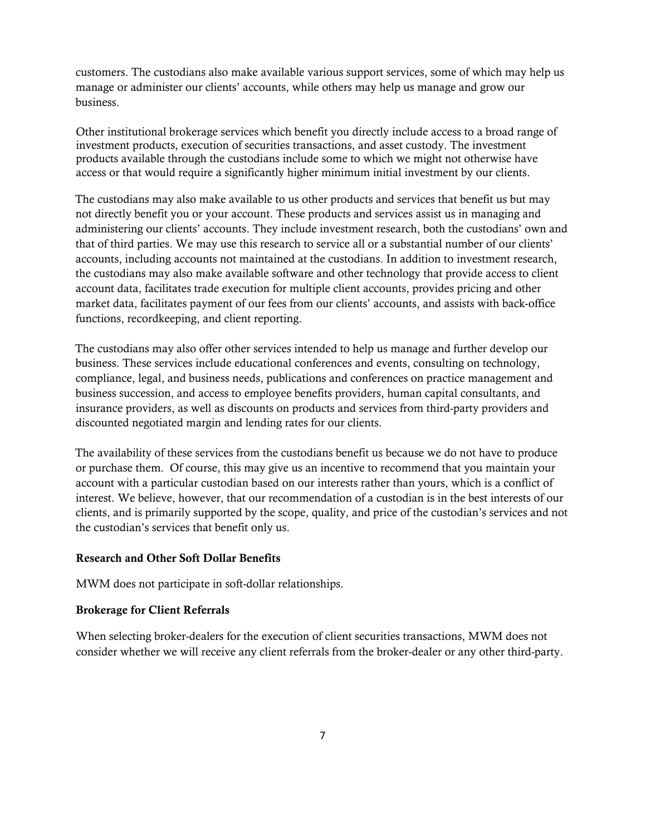customers. The custodians also make available various support services, some of which may help us manage or administer our clients' accounts, while others may help us manage and grow our business.

Other institutional brokerage services which benefit you directly include access to a broad range of investment products, execution of securities transactions, and asset custody. The investment products available through the custodians include some to which we might not otherwise have access or that would require a significantly higher minimum initial investment by our clients.

The custodians may also make available to us other products and services that benefit us but may not directly benefit you or your account. These products and services assist us in managing and administering our clients' accounts. They include investment research, both the custodians' own and that of third parties. We may use this research to service all or a substantial number of our clients' accounts, including accounts not maintained at the custodians. In addition to investment research, the custodians may also make available software and other technology that provide access to client account data, facilitates trade execution for multiple client accounts, provides pricing and other market data, facilitates payment of our fees from our clients' accounts, and assists with back-office functions, recordkeeping, and client reporting.

The custodians may also offer other services intended to help us manage and further develop our business. These services include educational conferences and events, consulting on technology, compliance, legal, and business needs, publications and conferences on practice management and business succession, and access to employee benefits providers, human capital consultants, and insurance providers, as well as discounts on products and services from third-party providers and discounted negotiated margin and lending rates for our clients.

The availability of these services from the custodians benefit us because we do not have to produce or purchase them. Of course, this may give us an incentive to recommend that you maintain your account with a particular custodian based on our interests rather than yours, which is a conflict of interest. We believe, however, that our recommendation of a custodian is in the best interests of our clients, and is primarily supported by the scope, quality, and price of the custodian's services and not the custodian's services that benefit only us.

#### Research and Other Soft Dollar Benefits

MWM does not participate in soft-dollar relationships.

#### Brokerage for Client Referrals

When selecting broker-dealers for the execution of client securities transactions, MWM does not consider whether we will receive any client referrals from the broker-dealer or any other third-party.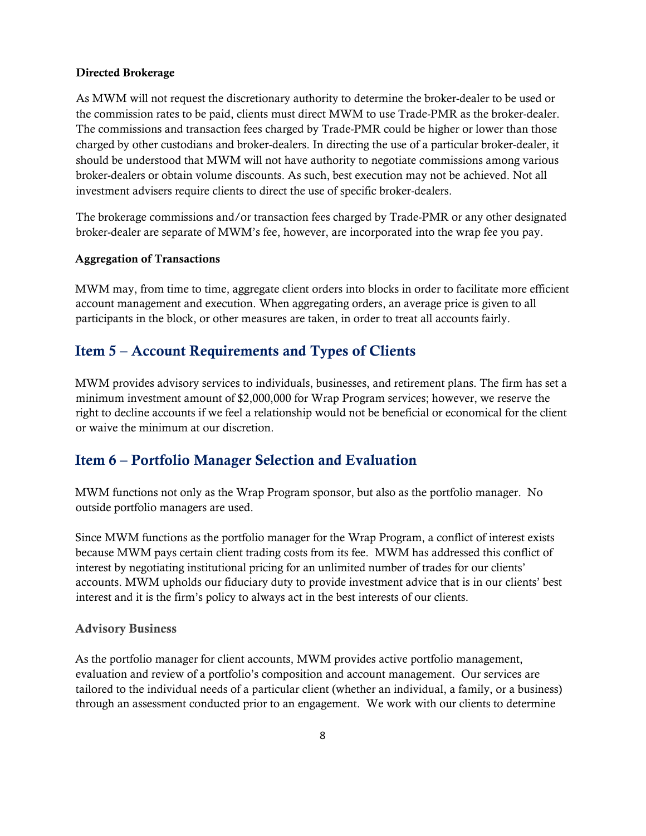#### Directed Brokerage

As MWM will not request the discretionary authority to determine the broker-dealer to be used or the commission rates to be paid, clients must direct MWM to use Trade-PMR as the broker-dealer. The commissions and transaction fees charged by Trade-PMR could be higher or lower than those charged by other custodians and broker-dealers. In directing the use of a particular broker-dealer, it should be understood that MWM will not have authority to negotiate commissions among various broker-dealers or obtain volume discounts. As such, best execution may not be achieved. Not all investment advisers require clients to direct the use of specific broker-dealers.

The brokerage commissions and/or transaction fees charged by Trade-PMR or any other designated broker-dealer are separate of MWM's fee, however, are incorporated into the wrap fee you pay.

#### Aggregation of Transactions

MWM may, from time to time, aggregate client orders into blocks in order to facilitate more efficient account management and execution. When aggregating orders, an average price is given to all participants in the block, or other measures are taken, in order to treat all accounts fairly.

# <span id="page-7-0"></span>Item 5 – Account Requirements and Types of Clients

MWM provides advisory services to individuals, businesses, and retirement plans. The firm has set a minimum investment amount of \$2,000,000 for Wrap Program services; however, we reserve the right to decline accounts if we feel a relationship would not be beneficial or economical for the client or waive the minimum at our discretion.

# <span id="page-7-1"></span>Item 6 – Portfolio Manager Selection and Evaluation

MWM functions not only as the Wrap Program sponsor, but also as the portfolio manager. No outside portfolio managers are used.

Since MWM functions as the portfolio manager for the Wrap Program, a conflict of interest exists because MWM pays certain client trading costs from its fee. MWM has addressed this conflict of interest by negotiating institutional pricing for an unlimited number of trades for our clients' accounts. MWM upholds our fiduciary duty to provide investment advice that is in our clients' best interest and it is the firm's policy to always act in the best interests of our clients.

#### Advisory Business

As the portfolio manager for client accounts, MWM provides active portfolio management, evaluation and review of a portfolio's composition and account management. Our services are tailored to the individual needs of a particular client (whether an individual, a family, or a business) through an assessment conducted prior to an engagement. We work with our clients to determine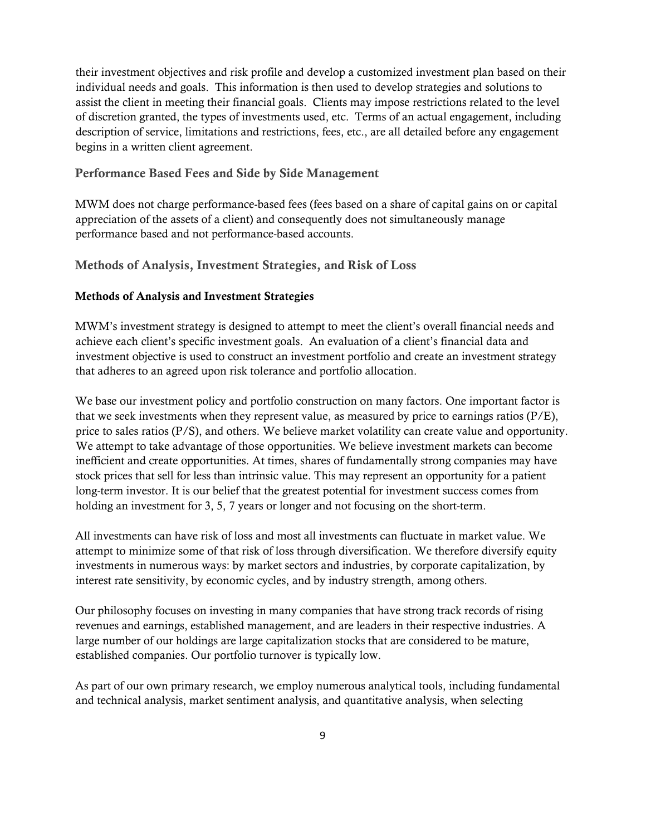their investment objectives and risk profile and develop a customized investment plan based on their individual needs and goals. This information is then used to develop strategies and solutions to assist the client in meeting their financial goals. Clients may impose restrictions related to the level of discretion granted, the types of investments used, etc. Terms of an actual engagement, including description of service, limitations and restrictions, fees, etc., are all detailed before any engagement begins in a written client agreement.

#### Performance Based Fees and Side by Side Management

MWM does not charge performance-based fees (fees based on a share of capital gains on or capital appreciation of the assets of a client) and consequently does not simultaneously manage performance based and not performance-based accounts.

Methods of Analysis, Investment Strategies, and Risk of Loss

#### Methods of Analysis and Investment Strategies

MWM's investment strategy is designed to attempt to meet the client's overall financial needs and achieve each client's specific investment goals. An evaluation of a client's financial data and investment objective is used to construct an investment portfolio and create an investment strategy that adheres to an agreed upon risk tolerance and portfolio allocation.

We base our investment policy and portfolio construction on many factors. One important factor is that we seek investments when they represent value, as measured by price to earnings ratios  $(P/E)$ , price to sales ratios (P/S), and others. We believe market volatility can create value and opportunity. We attempt to take advantage of those opportunities. We believe investment markets can become inefficient and create opportunities. At times, shares of fundamentally strong companies may have stock prices that sell for less than intrinsic value. This may represent an opportunity for a patient long-term investor. It is our belief that the greatest potential for investment success comes from holding an investment for 3, 5, 7 years or longer and not focusing on the short-term.

All investments can have risk of loss and most all investments can fluctuate in market value. We attempt to minimize some of that risk of loss through diversification. We therefore diversify equity investments in numerous ways: by market sectors and industries, by corporate capitalization, by interest rate sensitivity, by economic cycles, and by industry strength, among others.

Our philosophy focuses on investing in many companies that have strong track records of rising revenues and earnings, established management, and are leaders in their respective industries. A large number of our holdings are large capitalization stocks that are considered to be mature, established companies. Our portfolio turnover is typically low.

As part of our own primary research, we employ numerous analytical tools, including fundamental and technical analysis, market sentiment analysis, and quantitative analysis, when selecting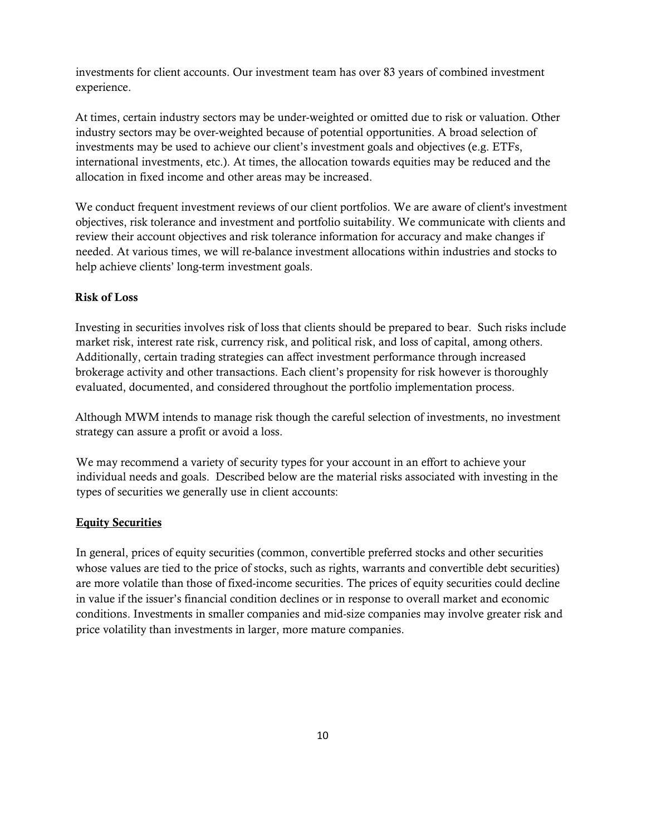investments for client accounts. Our investment team has over 83 years of combined investment experience.

At times, certain industry sectors may be under-weighted or omitted due to risk or valuation. Other industry sectors may be over-weighted because of potential opportunities. A broad selection of investments may be used to achieve our client's investment goals and objectives (e.g. ETFs, international investments, etc.). At times, the allocation towards equities may be reduced and the allocation in fixed income and other areas may be increased.

We conduct frequent investment reviews of our client portfolios. We are aware of client's investment objectives, risk tolerance and investment and portfolio suitability. We communicate with clients and review their account objectives and risk tolerance information for accuracy and make changes if needed. At various times, we will re-balance investment allocations within industries and stocks to help achieve clients' long-term investment goals.

#### Risk of Loss

Investing in securities involves risk of loss that clients should be prepared to bear. Such risks include market risk, interest rate risk, currency risk, and political risk, and loss of capital, among others. Additionally, certain trading strategies can affect investment performance through increased brokerage activity and other transactions. Each client's propensity for risk however is thoroughly evaluated, documented, and considered throughout the portfolio implementation process.

Although MWM intends to manage risk though the careful selection of investments, no investment strategy can assure a profit or avoid a loss.

We may recommend a variety of security types for your account in an effort to achieve your individual needs and goals. Described below are the material risks associated with investing in the types of securities we generally use in client accounts:

#### Equity Securities

In general, prices of equity securities (common, convertible preferred stocks and other securities whose values are tied to the price of stocks, such as rights, warrants and convertible debt securities) are more volatile than those of fixed-income securities. The prices of equity securities could decline in value if the issuer's financial condition declines or in response to overall market and economic conditions. Investments in smaller companies and mid-size companies may involve greater risk and price volatility than investments in larger, more mature companies.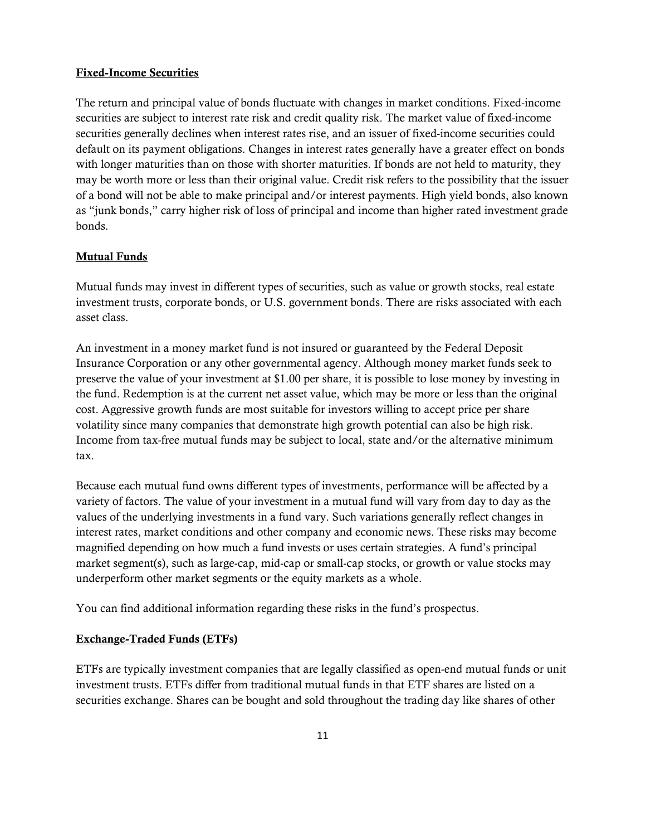#### Fixed-Income Securities

The return and principal value of bonds fluctuate with changes in market conditions. Fixed-income securities are subject to interest rate risk and credit quality risk. The market value of fixed-income securities generally declines when interest rates rise, and an issuer of fixed-income securities could default on its payment obligations. Changes in interest rates generally have a greater effect on bonds with longer maturities than on those with shorter maturities. If bonds are not held to maturity, they may be worth more or less than their original value. Credit risk refers to the possibility that the issuer of a bond will not be able to make principal and/or interest payments. High yield bonds, also known as "junk bonds," carry higher risk of loss of principal and income than higher rated investment grade bonds.

#### Mutual Funds

Mutual funds may invest in different types of securities, such as value or growth stocks, real estate investment trusts, corporate bonds, or U.S. government bonds. There are risks associated with each asset class.

An investment in a money market fund is not insured or guaranteed by the Federal Deposit Insurance Corporation or any other governmental agency. Although money market funds seek to preserve the value of your investment at \$1.00 per share, it is possible to lose money by investing in the fund. Redemption is at the current net asset value, which may be more or less than the original cost. Aggressive growth funds are most suitable for investors willing to accept price per share volatility since many companies that demonstrate high growth potential can also be high risk. Income from tax-free mutual funds may be subject to local, state and/or the alternative minimum tax.

Because each mutual fund owns different types of investments, performance will be affected by a variety of factors. The value of your investment in a mutual fund will vary from day to day as the values of the underlying investments in a fund vary. Such variations generally reflect changes in interest rates, market conditions and other company and economic news. These risks may become magnified depending on how much a fund invests or uses certain strategies. A fund's principal market segment(s), such as large-cap, mid-cap or small-cap stocks, or growth or value stocks may underperform other market segments or the equity markets as a whole.

You can find additional information regarding these risks in the fund's prospectus.

#### Exchange-Traded Funds (ETFs)

ETFs are typically investment companies that are legally classified as open-end mutual funds or unit investment trusts. ETFs differ from traditional mutual funds in that ETF shares are listed on a securities exchange. Shares can be bought and sold throughout the trading day like shares of other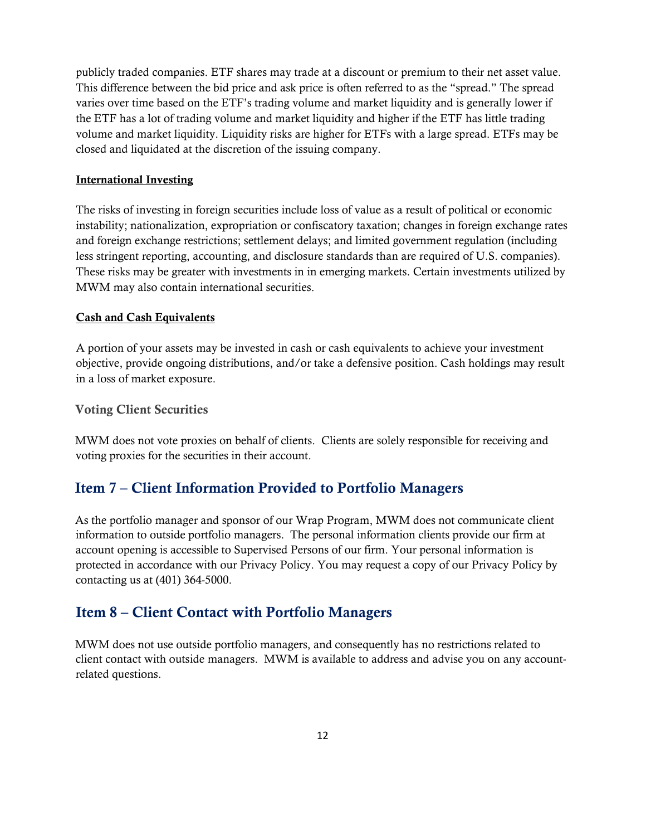publicly traded companies. ETF shares may trade at a discount or premium to their net asset value. This difference between the bid price and ask price is often referred to as the "spread." The spread varies over time based on the ETF's trading volume and market liquidity and is generally lower if the ETF has a lot of trading volume and market liquidity and higher if the ETF has little trading volume and market liquidity. Liquidity risks are higher for ETFs with a large spread. ETFs may be closed and liquidated at the discretion of the issuing company.

#### International Investing

The risks of investing in foreign securities include loss of value as a result of political or economic instability; nationalization, expropriation or confiscatory taxation; changes in foreign exchange rates and foreign exchange restrictions; settlement delays; and limited government regulation (including less stringent reporting, accounting, and disclosure standards than are required of U.S. companies). These risks may be greater with investments in in emerging markets. Certain investments utilized by MWM may also contain international securities.

#### Cash and Cash Equivalents

A portion of your assets may be invested in cash or cash equivalents to achieve your investment objective, provide ongoing distributions, and/or take a defensive position. Cash holdings may result in a loss of market exposure.

#### Voting Client Securities

MWM does not vote proxies on behalf of clients. Clients are solely responsible for receiving and voting proxies for the securities in their account.

# <span id="page-11-0"></span>Item 7 – Client Information Provided to Portfolio Managers

As the portfolio manager and sponsor of our Wrap Program, MWM does not communicate client information to outside portfolio managers. The personal information clients provide our firm at account opening is accessible to Supervised Persons of our firm. Your personal information is protected in accordance with our Privacy Policy. You may request a copy of our Privacy Policy by contacting us at (401) 364-5000.

# <span id="page-11-1"></span>Item 8 – Client Contact with Portfolio Managers

MWM does not use outside portfolio managers, and consequently has no restrictions related to client contact with outside managers. MWM is available to address and advise you on any accountrelated questions.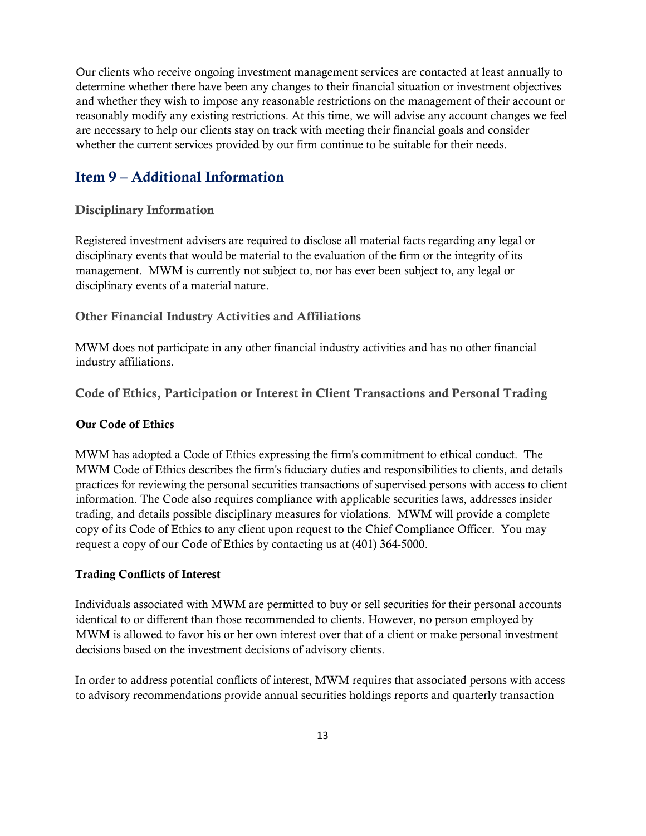Our clients who receive ongoing investment management services are contacted at least annually to determine whether there have been any changes to their financial situation or investment objectives and whether they wish to impose any reasonable restrictions on the management of their account or reasonably modify any existing restrictions. At this time, we will advise any account changes we feel are necessary to help our clients stay on track with meeting their financial goals and consider whether the current services provided by our firm continue to be suitable for their needs.

# <span id="page-12-0"></span>Item 9 – Additional Information

#### Disciplinary Information

Registered investment advisers are required to disclose all material facts regarding any legal or disciplinary events that would be material to the evaluation of the firm or the integrity of its management. MWM is currently not subject to, nor has ever been subject to, any legal or disciplinary events of a material nature.

#### Other Financial Industry Activities and Affiliations

MWM does not participate in any other financial industry activities and has no other financial industry affiliations.

Code of Ethics, Participation or Interest in Client Transactions and Personal Trading

#### Our Code of Ethics

MWM has adopted a Code of Ethics expressing the firm's commitment to ethical conduct. The MWM Code of Ethics describes the firm's fiduciary duties and responsibilities to clients, and details practices for reviewing the personal securities transactions of supervised persons with access to client information. The Code also requires compliance with applicable securities laws, addresses insider trading, and details possible disciplinary measures for violations. MWM will provide a complete copy of its Code of Ethics to any client upon request to the Chief Compliance Officer. You may request a copy of our Code of Ethics by contacting us at (401) 364-5000.

#### Trading Conflicts of Interest

Individuals associated with MWM are permitted to buy or sell securities for their personal accounts identical to or different than those recommended to clients. However, no person employed by MWM is allowed to favor his or her own interest over that of a client or make personal investment decisions based on the investment decisions of advisory clients.

In order to address potential conflicts of interest, MWM requires that associated persons with access to advisory recommendations provide annual securities holdings reports and quarterly transaction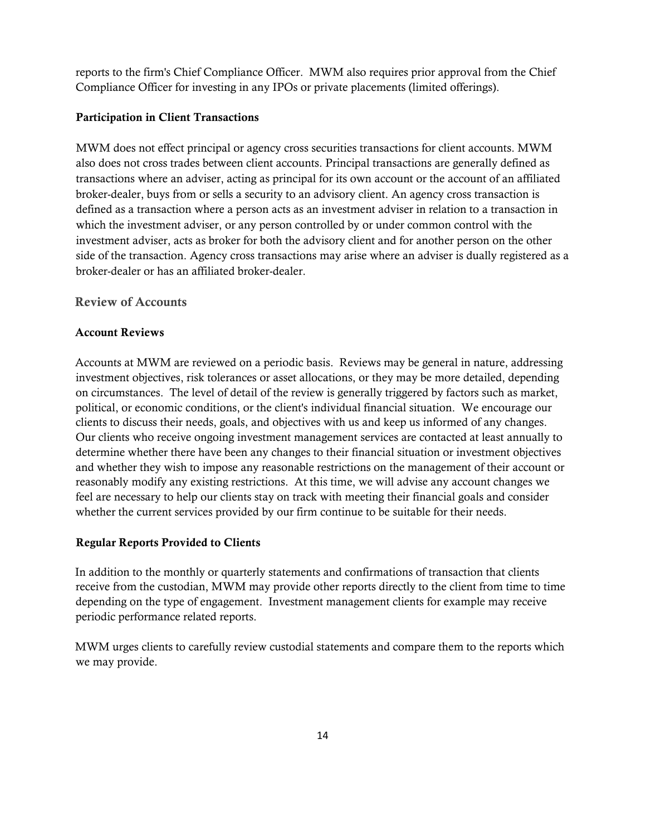reports to the firm's Chief Compliance Officer. MWM also requires prior approval from the Chief Compliance Officer for investing in any IPOs or private placements (limited offerings).

#### Participation in Client Transactions

MWM does not effect principal or agency cross securities transactions for client accounts. MWM also does not cross trades between client accounts. Principal transactions are generally defined as transactions where an adviser, acting as principal for its own account or the account of an affiliated broker-dealer, buys from or sells a security to an advisory client. An agency cross transaction is defined as a transaction where a person acts as an investment adviser in relation to a transaction in which the investment adviser, or any person controlled by or under common control with the investment adviser, acts as broker for both the advisory client and for another person on the other side of the transaction. Agency cross transactions may arise where an adviser is dually registered as a broker-dealer or has an affiliated broker-dealer.

#### Review of Accounts

#### Account Reviews

Accounts at MWM are reviewed on a periodic basis. Reviews may be general in nature, addressing investment objectives, risk tolerances or asset allocations, or they may be more detailed, depending on circumstances. The level of detail of the review is generally triggered by factors such as market, political, or economic conditions, or the client's individual financial situation. We encourage our clients to discuss their needs, goals, and objectives with us and keep us informed of any changes. Our clients who receive ongoing investment management services are contacted at least annually to determine whether there have been any changes to their financial situation or investment objectives and whether they wish to impose any reasonable restrictions on the management of their account or reasonably modify any existing restrictions. At this time, we will advise any account changes we feel are necessary to help our clients stay on track with meeting their financial goals and consider whether the current services provided by our firm continue to be suitable for their needs.

#### Regular Reports Provided to Clients

In addition to the monthly or quarterly statements and confirmations of transaction that clients receive from the custodian, MWM may provide other reports directly to the client from time to time depending on the type of engagement. Investment management clients for example may receive periodic performance related reports.

MWM urges clients to carefully review custodial statements and compare them to the reports which we may provide.